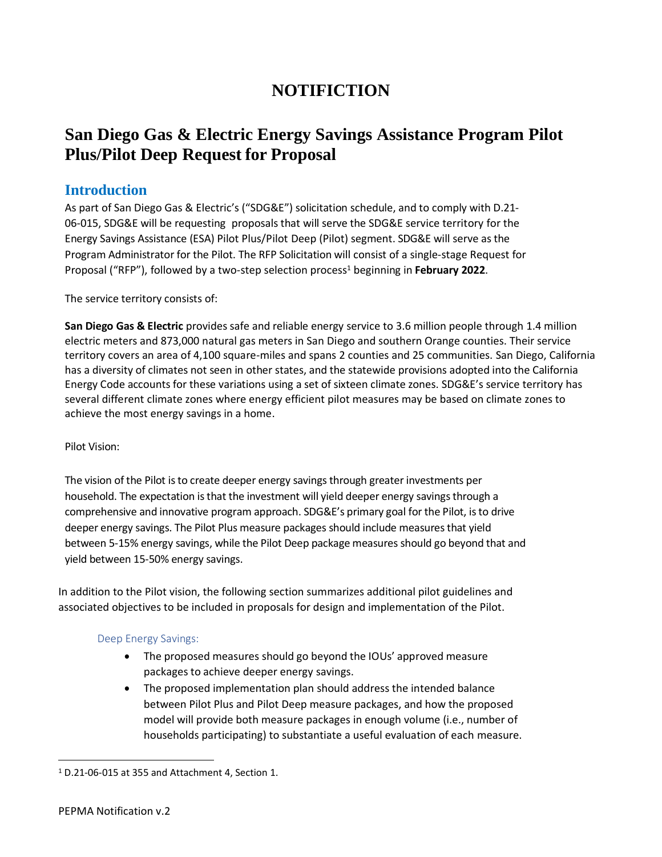# **NOTIFICTION**

# **San Diego Gas & Electric Energy Savings Assistance Program Pilot Plus/Pilot Deep Request for Proposal**

## **Introduction**

As part of San Diego Gas & Electric's ("SDG&E") solicitation schedule, and to comply with D.21- 06-015, SDG&E will be requesting proposals that will serve the SDG&E service territory for the Energy Savings Assistance (ESA) Pilot Plus/Pilot Deep (Pilot) segment. SDG&E will serve as the Program Administrator for the Pilot. The RFP Solicitation will consist of a single-stage Request for Proposal ("RFP"), followed by a two-step selection process<sup>1</sup> beginning in **February 2022**.

The service territory consists of:

**San Diego Gas & Electric** provides safe and reliable energy service to 3.6 million people through 1.4 million electric meters and 873,000 natural gas meters in San Diego and southern Orange counties. Their service territory covers an area of 4,100 square-miles and spans 2 counties and 25 communities. San Diego, California has a diversity of climates not seen in other states, and the statewide provisions adopted into the California Energy Code accounts for these variations using a set of sixteen climate zones. SDG&E's service territory has several different climate zones where energy efficient pilot measures may be based on climate zones to achieve the most energy savings in a home.

### Pilot Vision:

The vision of the Pilot is to create deeper energy savings through greater investments per household. The expectation is that the investment will yield deeper energy savings through a comprehensive and innovative program approach. SDG&E's primary goal for the Pilot, is to drive deeper energy savings. The Pilot Plus measure packages should include measures that yield between 5-15% energy savings, while the Pilot Deep package measures should go beyond that and yield between 15-50% energy savings.

In addition to the Pilot vision, the following section summarizes additional pilot guidelines and associated objectives to be included in proposals for design and implementation of the Pilot.

### Deep Energy Savings:

- The proposed measures should go beyond the IOUs' approved measure packages to achieve deeper energy savings.
- The proposed implementation plan should address the intended balance between Pilot Plus and Pilot Deep measure packages, and how the proposed model will provide both measure packages in enough volume (i.e., number of households participating) to substantiate a useful evaluation of each measure.

<sup>1</sup> D.21-06-015 at 355 and Attachment 4, Section 1.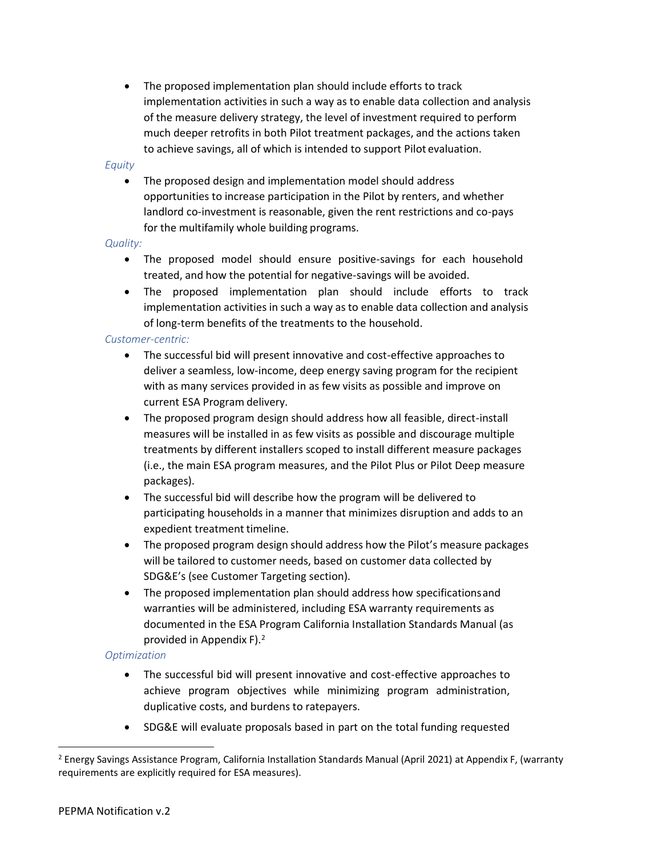• The proposed implementation plan should include efforts to track implementation activities in such a way as to enable data collection and analysis of the measure delivery strategy, the level of investment required to perform much deeper retrofits in both Pilot treatment packages, and the actions taken to achieve savings, all of which is intended to support Pilot evaluation.

#### *Equity*

• The proposed design and implementation model should address opportunities to increase participation in the Pilot by renters, and whether landlord co-investment is reasonable, given the rent restrictions and co-pays for the multifamily whole building programs.

#### *Quality:*

- The proposed model should ensure positive-savings for each household treated, and how the potential for negative-savings will be avoided.
- The proposed implementation plan should include efforts to track implementation activities in such a way as to enable data collection and analysis of long-term benefits of the treatments to the household.

#### *Customer-centric:*

- The successful bid will present innovative and cost-effective approaches to deliver a seamless, low-income, deep energy saving program for the recipient with as many services provided in as few visits as possible and improve on current ESA Program delivery.
- The proposed program design should address how all feasible, direct-install measures will be installed in as few visits as possible and discourage multiple treatments by different installers scoped to install different measure packages (i.e., the main ESA program measures, and the Pilot Plus or Pilot Deep measure packages).
- The successful bid will describe how the program will be delivered to participating households in a manner that minimizes disruption and adds to an expedient treatment timeline.
- The proposed program design should address how the Pilot's measure packages will be tailored to customer needs, based on customer data collected by SDG&E's (see Customer Targeting section).
- The proposed implementation plan should address how specificationsand warranties will be administered, including ESA warranty requirements as documented in the ESA Program California Installation Standards Manual (as provided in Appendix F).<sup>2</sup>

#### *Optimization*

- The successful bid will present innovative and cost-effective approaches to achieve program objectives while minimizing program administration, duplicative costs, and burdens to ratepayers.
- SDG&E will evaluate proposals based in part on the total funding requested

<sup>2</sup> Energy Savings Assistance Program, California Installation Standards Manual (April 2021) at Appendix F, (warranty requirements are explicitly required for ESA measures).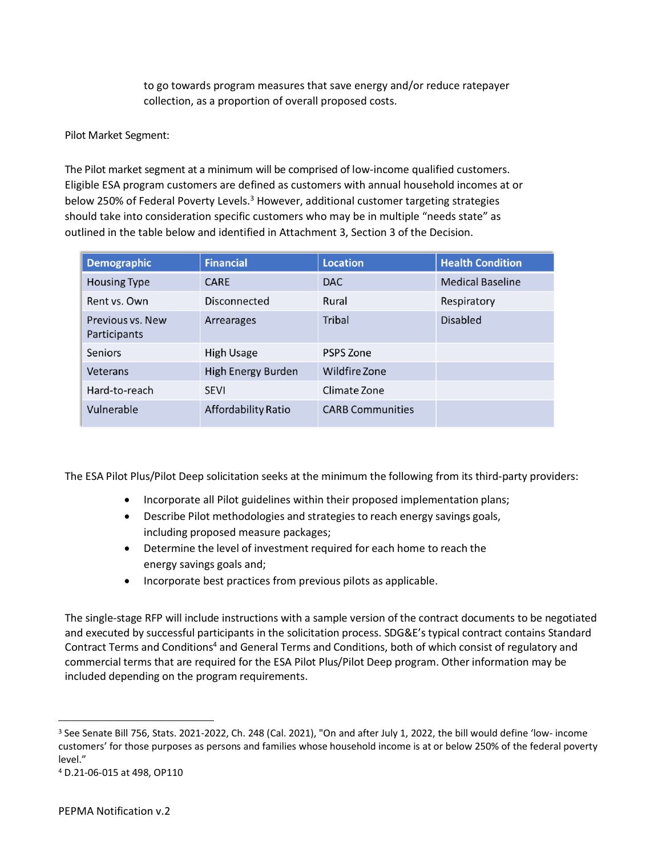to go towards program measures that save energy and/or reduce ratepayer collection, as a proportion of overall proposed costs.

Pilot Market Segment:

The Pilot market segment at a minimum will be comprised of low-income qualified customers. Eligible ESA program customers are defined as customers with annual household incomes at or below 250% of Federal Poverty Levels.<sup>3</sup> However, additional customer targeting strategies should take into consideration specific customers who may be in multiple "needs state" as outlined in the table below and identified in Attachment 3, Section 3 of the Decision.

| <b>Demographic</b>               | <b>Financial</b>          | <b>Location</b>         | <b>Health Condition</b> |
|----------------------------------|---------------------------|-------------------------|-------------------------|
| <b>Housing Type</b>              | <b>CARE</b>               | <b>DAC</b>              | <b>Medical Baseline</b> |
| Rent vs. Own                     | Disconnected              | Rural                   | Respiratory             |
| Previous vs. New<br>Participants | Arrearages                | <b>Tribal</b>           | <b>Disabled</b>         |
| Seniors                          | <b>High Usage</b>         | <b>PSPS Zone</b>        |                         |
| Veterans                         | <b>High Energy Burden</b> | Wildfire Zone           |                         |
| Hard-to-reach                    | <b>SEVI</b>               | Climate Zone            |                         |
| Vulnerable                       | Affordability Ratio       | <b>CARB Communities</b> |                         |

The ESA Pilot Plus/Pilot Deep solicitation seeks at the minimum the following from its third-party providers:

- Incorporate all Pilot guidelines within their proposed implementation plans;
- Describe Pilot methodologies and strategies to reach energy savings goals, including proposed measure packages;
- Determine the level of investment required for each home to reach the energy savings goals and;
- Incorporate best practices from previous pilots as applicable.

The single-stage RFP will include instructions with a sample version of the contract documents to be negotiated and executed by successful participants in the solicitation process. SDG&E's typical contract contains Standard Contract Terms and Conditions<sup>4</sup> and General Terms and Conditions, both of which consist of regulatory and commercial terms that are required for the ESA Pilot Plus/Pilot Deep program. Other information may be included depending on the program requirements.

<sup>3</sup> See Senate Bill 756, Stats. 2021-2022, Ch. 248 (Cal. 2021), "On and after July 1, 2022, the bill would define 'low- income customers' for those purposes as persons and families whose household income is at or below 250% of the federal poverty level."

<sup>4</sup> D.21-06-015 at 498, OP110